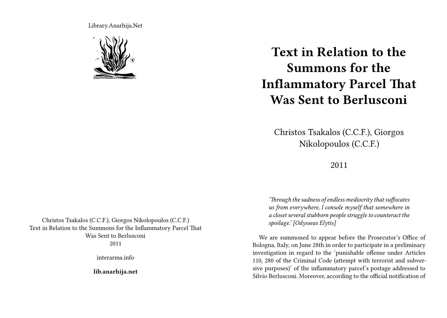Library.Anarhija.Net



## **Text in Relation to the Summons for the Inflammatory Parcel That Was Sent to Berlusconi**

Christos Tsakalos (C.C.F.), Giorgos Nikolopoulos (C.C.F.)

## 2011

*'Through the sadness of endless mediocrity that suffocates us from everywhere, I console myself that somewhere in a closet several stubborn people struggle to counteract the spoilage.' [Odysseas Elytis]*

We are summoned to appear before the Prosecutor's Office of Bologna, Italy, on June 28th in order to participate in a preliminary investigation in regard to the 'punishable offense under Articles 110, 280 of the Criminal Code (attempt with terrorist and subversive purposes)' of the inflammatory parcel's postage addressed to Silvio Berlusconi. Moreover, according to the official notification of

Christos Tsakalos (C.C.F.), Giorgos Nikolopoulos (C.C.F.) Text in Relation to the Summons for the Inflammatory Parcel That Was Sent to Berlusconi 2011

interarma.info

**lib.anarhija.net**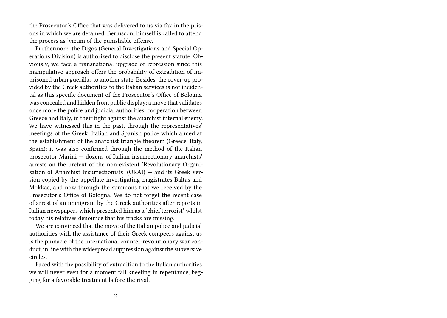the Prosecutor's Office that was delivered to us via fax in the prisons in which we are detained, Berlusconi himself is called to attend the process as 'victim of the punishable offense.'

Furthermore, the Digos (General Investigations and Special Operations Division) is authorized to disclose the present statute. Obviously, we face a transnational upgrade of repression since this manipulative approach offers the probability of extradition of imprisoned urban guerillas to another state. Besides, the cover-up provided by the Greek authorities to the Italian services is not incidental as this specific document of the Prosecutor's Office of Bologna was concealed and hidden from public display; a move that validates once more the police and judicial authorities' cooperation between Greece and Italy, in their fight against the anarchist internal enemy. We have witnessed this in the past, through the representatives' meetings of the Greek, Italian and Spanish police which aimed at the establishment of the anarchist triangle theorem (Greece, Italy, Spain); it was also confirmed through the method of the Italian prosecutor Marini — dozens of Italian insurrectionary anarchists' arrests on the pretext of the non-existent 'Revolutionary Organization of Anarchist Insurrectionists' (ORAI) — and its Greek version copied by the appellate investigating magistrates Baltas and Mokkas, and now through the summons that we received by the Prosecutor's Office of Bologna. We do not forget the recent case of arrest of an immigrant by the Greek authorities after reports in Italian newspapers which presented him as a 'chief terrorist' whilst today his relatives denounce that his tracks are missing.

We are convinced that the move of the Italian police and judicial authorities with the assistance of their Greek compeers against us is the pinnacle of the international counter-revolutionary war conduct, in line with the widespread suppression against the subversive circles.

Faced with the possibility of extradition to the Italian authorities we will never even for a moment fall kneeling in repentance, begging for a favorable treatment before the rival.

2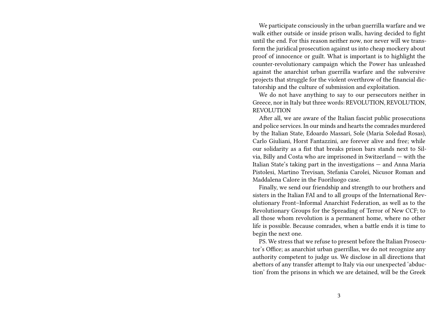We participate consciously in the urban guerrilla warfare and we walk either outside or inside prison walls, having decided to fight until the end. For this reason neither now, nor never will we transform the juridical prosecution against us into cheap mockery about proof of innocence or guilt. What is important is to highlight the counter-revolutionary campaign which the Power has unleashed against the anarchist urban guerrilla warfare and the subversive projects that struggle for the violent overthrow of the financial dictatorship and the culture of submission and exploitation.

We do not have anything to say to our persecutors neither in Greece, nor in Italy but three words: REVOLUTION, REVOLUTION, REVOLUTION

After all, we are aware of the Italian fascist public prosecutions and police services. In our minds and hearts the comrades murdered by the Italian State, Edoardo Massari, Sole (Maria Soledad Rosas), Carlo Giuliani, Horst Fantazzini, are forever alive and free; while our solidarity as a fist that breaks prison bars stands next to Silvia, Billy and Costa who are imprisoned in Switzerland — with the Italian State's taking part in the investigations — and Anna Maria Pistolesi, Martino Trevisan, Stefania Carolei, Nicusor Roman and Maddalena Calore in the Fuoriluogo case.

Finally, we send our friendship and strength to our brothers and sisters in the Italian FAI and to all groups of the International Revolutionary Front–Informal Anarchist Federation, as well as to the Revolutionary Groups for the Spreading of Terror of New CCF; to all those whom revolution is a permanent home, where no other life is possible. Because comrades, when a battle ends it is time to begin the next one.

PS. We stress that we refuse to present before the Italian Prosecutor's Office; as anarchist urban guerrillas, we do not recognize any authority competent to judge us. We disclose in all directions that abettors of any transfer attempt to Italy via our unexpected 'abduction' from the prisons in which we are detained, will be the Greek